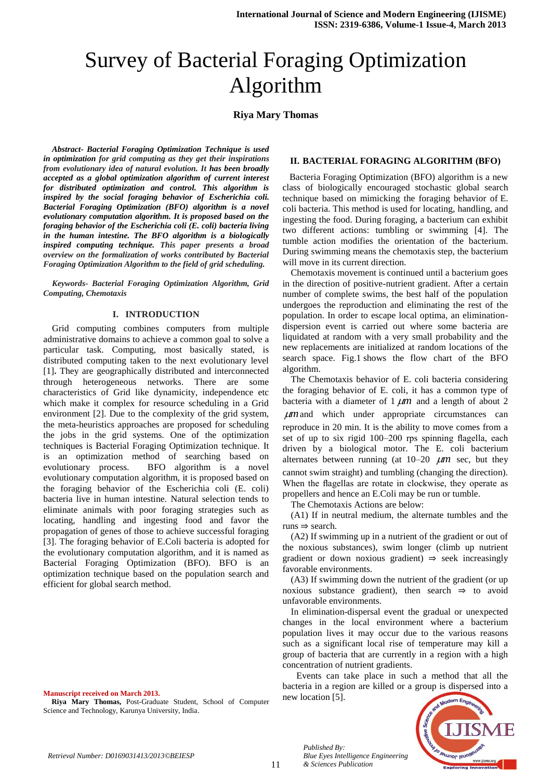# Survey of Bacterial Foraging Optimization Algorithm

## **Riya Mary Thomas**

*Abstract- Bacterial Foraging Optimization Technique is used in optimization for grid computing as they get their inspirations from evolutionary idea of natural evolution. It has been broadly accepted as a global optimization algorithm of current interest for distributed optimization and control. This algorithm is inspired by the social foraging behavior of Escherichia coli. Bacterial Foraging Optimization (BFO) algorithm is a novel evolutionary computation algorithm. It is proposed based on the foraging behavior of the Escherichia coli (E. coli) bacteria living in the human intestine. The BFO algorithm is a biologically inspired computing technique. This paper presents a broad overview on the formalization of works contributed by Bacterial Foraging Optimization Algorithm to the field of grid scheduling.*

*Keywords- Bacterial Foraging Optimization Algorithm, Grid Computing, Chemotaxis*

#### **I. INTRODUCTION**

Grid computing combines computers from multiple administrative domains to achieve a common goal to solve a particular task. Computing, most basically stated, is distributed computing taken to the next evolutionary level [1]**.** They are geographically distributed and interconnected through heterogeneous networks. There are some characteristics of Grid like dynamicity, independence etc which make it complex for resource scheduling in a Grid environment [2]. Due to the complexity of the grid system, the meta-heuristics approaches are proposed for scheduling the jobs in the grid systems. One of the optimization techniques is Bacterial Foraging Optimization technique. It is an optimization method of searching based on evolutionary process. BFO algorithm is a novel evolutionary computation algorithm, it is proposed based on the foraging behavior of the Escherichia coli (E. coli) bacteria live in human intestine. Natural selection tends to eliminate animals with poor foraging strategies such as locating, handling and ingesting food and favor the propagation of genes of those to achieve successful foraging [3]. The foraging behavior of E.Coli bacteria is adopted for the evolutionary computation algorithm, and it is named as Bacterial Foraging Optimization (BFO). BFO is an optimization technique based on the population search and efficient for global search method.

**Manuscript received on March 2013.**

**Riya Mary Thomas,** Post-Graduate Student, School of Computer Science and Technology, Karunya University, India.

#### **II. BACTERIAL FORAGING ALGORITHM (BFO)**

 Bacteria Foraging Optimization (BFO) algorithm is a new class of biologically encouraged stochastic global search technique based on mimicking the foraging behavior of E. coli bacteria. This method is used for locating, handling, and ingesting the food. During foraging, a bacterium can exhibit two different actions: tumbling or swimming [4]. The tumble action modifies the orientation of the bacterium. During swimming means the chemotaxis step, the bacterium will move in its current direction.

Chemotaxis movement is continued until a bacterium goes in the direction of positive-nutrient gradient. After a certain number of complete swims, the best half of the population undergoes the reproduction and eliminating the rest of the population. In order to escape local optima, an eliminationdispersion event is carried out where some bacteria are liquidated at random with a very small probability and the new replacements are initialized at random locations of the search space. Fig.1 shows the flow chart of the BFO algorithm.

The Chemotaxis behavior of E. coli bacteria considering the foraging behavior of E. coli, it has a common type of bacteria with a diameter of  $1 \mu m$  and a length of about 2 *m* and which under appropriate circumstances can reproduce in 20 min. It is the ability to move comes from a set of up to six rigid 100–200 rps spinning flagella, each driven by a biological motor. The E. coli bacterium alternates between running (at  $10-20$   $\mu$ m sec, but they cannot swim straight) and tumbling (changing the direction). When the flagellas are rotate in clockwise, they operate as propellers and hence an E.Coli may be run or tumble.

The Chemotaxis Actions are below:

(A1) If in neutral medium, the alternate tumbles and the runs ⇒ search.

(A2) If swimming up in a nutrient of the gradient or out of the noxious substances), swim longer (climb up nutrient gradient or down noxious gradient)  $\Rightarrow$  seek increasingly favorable environments.

(A3) If swimming down the nutrient of the gradient (or up noxious substance gradient), then search  $\Rightarrow$  to avoid unfavorable environments.

In elimination-dispersal event the gradual or unexpected changes in the local environment where a bacterium population lives it may occur due to the various reasons such as a significant local rise of temperature may kill a group of bacteria that are currently in a region with a high concentration of nutrient gradients.

 Events can take place in such a method that all the bacteria in a region are killed or a group is dispersed into a new location [5].



*Published By:*

*& Sciences Publication* 

*Blue Eyes Intelligence Engineering*